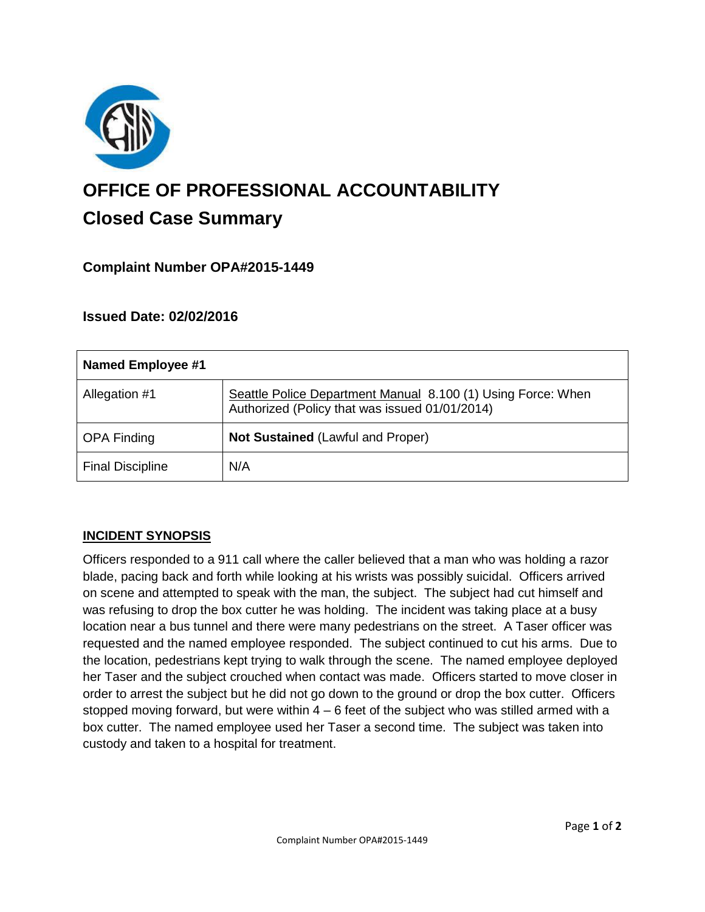

# **OFFICE OF PROFESSIONAL ACCOUNTABILITY Closed Case Summary**

# **Complaint Number OPA#2015-1449**

## **Issued Date: 02/02/2016**

| Named Employee #1       |                                                                                                                |
|-------------------------|----------------------------------------------------------------------------------------------------------------|
| Allegation #1           | Seattle Police Department Manual 8.100 (1) Using Force: When<br>Authorized (Policy that was issued 01/01/2014) |
| <b>OPA Finding</b>      | Not Sustained (Lawful and Proper)                                                                              |
| <b>Final Discipline</b> | N/A                                                                                                            |

## **INCIDENT SYNOPSIS**

Officers responded to a 911 call where the caller believed that a man who was holding a razor blade, pacing back and forth while looking at his wrists was possibly suicidal. Officers arrived on scene and attempted to speak with the man, the subject. The subject had cut himself and was refusing to drop the box cutter he was holding. The incident was taking place at a busy location near a bus tunnel and there were many pedestrians on the street. A Taser officer was requested and the named employee responded. The subject continued to cut his arms. Due to the location, pedestrians kept trying to walk through the scene. The named employee deployed her Taser and the subject crouched when contact was made. Officers started to move closer in order to arrest the subject but he did not go down to the ground or drop the box cutter. Officers stopped moving forward, but were within  $4 - 6$  feet of the subject who was stilled armed with a box cutter. The named employee used her Taser a second time. The subject was taken into custody and taken to a hospital for treatment.